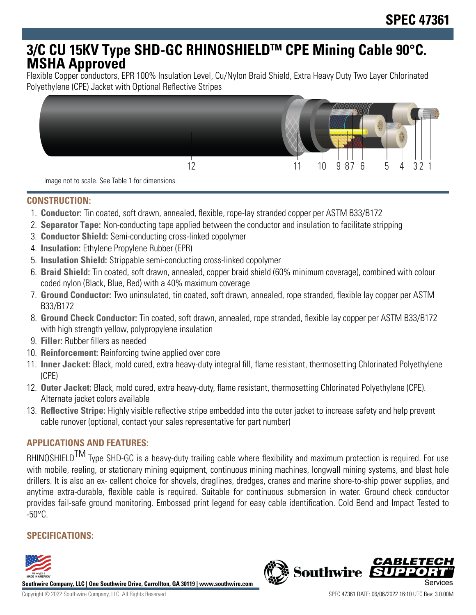# **3/C CU 15KV Type SHD-GC RHINOSHIELDTM CPE Mining Cable 90°C. MSHA Approved**

Flexible Copper conductors, EPR 100% Insulation Level, Cu/Nylon Braid Shield, Extra Heavy Duty Two Layer Chlorinated Polyethylene (CPE) Jacket with Optional Reflective Stripes



Image not to scale. See Table 1 for dimensions.

### **CONSTRUCTION:**

- 1. **Conductor:** Tin coated, soft drawn, annealed, flexible, rope-lay stranded copper per ASTM B33/B172
- 2. **Separator Tape:** Non-conducting tape applied between the conductor and insulation to facilitate stripping
- 3. **Conductor Shield:** Semi-conducting cross-linked copolymer
- 4. **Insulation:** Ethylene Propylene Rubber (EPR)
- 5. **Insulation Shield:** Strippable semi-conducting cross-linked copolymer
- 6. **Braid Shield:** Tin coated, soft drawn, annealed, copper braid shield (60% minimum coverage), combined with colour coded nylon (Black, Blue, Red) with a 40% maximum coverage
- 7. **Ground Conductor:** Two uninsulated, tin coated, soft drawn, annealed, rope stranded, flexible lay copper per ASTM B33/B172
- 8. **Ground Check Conductor:** Tin coated, soft drawn, annealed, rope stranded, flexible lay copper per ASTM B33/B172 with high strength yellow, polypropylene insulation
- 9. **Filler:** Rubber fillers as needed
- 10. **Reinforcement:** Reinforcing twine applied over core
- 11. **Inner Jacket:** Black, mold cured, extra heavy-duty integral fill, flame resistant, thermosetting Chlorinated Polyethylene (CPE)
- 12. **Outer Jacket:** Black, mold cured, extra heavy-duty, flame resistant, thermosetting Chlorinated Polyethylene (CPE). Alternate jacket colors available
- 13. **Reflective Stripe:** Highly visible reflective stripe embedded into the outer jacket to increase safety and help prevent cable runover (optional, contact your sales representative for part number)

## **APPLICATIONS AND FEATURES:**

RHINOSHIELD<sup>TM</sup> Type SHD-GC is a heavy-duty trailing cable where flexibility and maximum protection is required. For use with mobile, reeling, or stationary mining equipment, continuous mining machines, longwall mining systems, and blast hole drillers. It is also an ex- cellent choice for shovels, draglines, dredges, cranes and marine shore-to-ship power supplies, and anytime extra-durable, flexible cable is required. Suitable for continuous submersion in water. Ground check conductor provides fail-safe ground monitoring. Embossed print legend for easy cable identification. Cold Bend and Impact Tested to  $-50^{\circ}$ C.

# **SPECIFICATIONS:**



**Southwire Company, LLC | One Southwire Drive, Carrollton, GA 30119 | www.southwire.com**

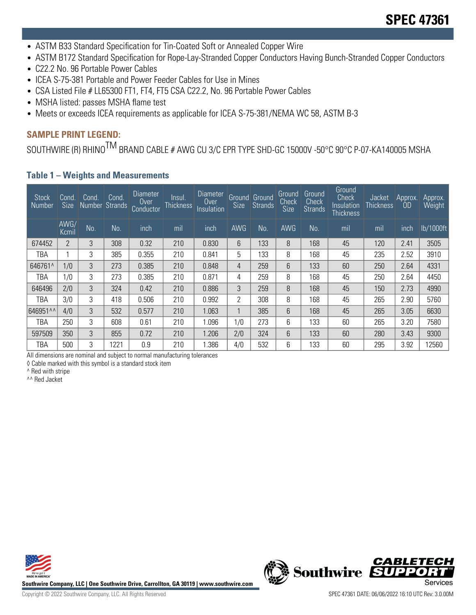- ASTM B33 Standard Specification for Tin-Coated Soft or Annealed Copper Wire
- ASTM B172 Standard Specification for Rope-Lay-Stranded Copper Conductors Having Bunch-Stranded Copper Conductors
- C22.2 No. 96 Portable Power Cables
- ICEA S-75-381 Portable and Power Feeder Cables for Use in Mines
- CSA Listed File # LL65300 FT1, FT4, FT5 CSA C22.2, No. 96 Portable Power Cables
- MSHA listed: passes MSHA flame test
- Meets or exceeds ICEA requirements as applicable for ICEA S-75-381/NEMA WC 58, ASTM B-3

#### **SAMPLE PRINT LEGEND:**

SOUTHWIRE (R) RHINO<sup>TM</sup> BRAND CABLE # AWG CU 3/C EPR TYPE SHD-GC 15000V -50°C 90°C P-07-KA140005 MSHA

#### **Table 1 – Weights and Measurements**

| <b>Stock</b><br>' Number | Cond.<br><b>Size</b> | Cond.<br>Number Strands | Cond. | <b>Diameter</b><br>Over<br>Conductor | Insul.<br><b>Thickness</b> | Diameter<br>Over<br>Insulation | Size       | Ground Ground<br><b>Strands</b> | Ground<br>Check<br>Size | Ground<br>Check<br><b>Strands</b> | Ground<br><b>Check</b><br>Insulation<br><b>Thickness</b> | Jacket<br><b>Thickness</b> | Approx.<br>OD | Approx.<br>Weight |
|--------------------------|----------------------|-------------------------|-------|--------------------------------------|----------------------------|--------------------------------|------------|---------------------------------|-------------------------|-----------------------------------|----------------------------------------------------------|----------------------------|---------------|-------------------|
|                          | AWG/<br>Kcmil        | No.                     | No.   | inch                                 | mil                        | inch                           | <b>AWG</b> | <b>No</b>                       | AWG                     | No.                               | mil                                                      | mil                        | inch          | lb/1000ft         |
| 674452                   | $\overline{2}$       | 3                       | 308   | 0.32                                 | 210                        | 0.830                          | 6          | 133                             | 8                       | 168                               | 45                                                       | 120                        | 2.41          | 3505              |
| TBA                      |                      | 3                       | 385   | 0.355                                | 210                        | 0.841                          | 5          | 133                             | 8                       | 168                               | 45                                                       | 235                        | 2.52          | 3910              |
| 646761^                  | 1/0                  | 3                       | 273   | 0.385                                | 210                        | 0.848                          | 4          | 259                             | 6                       | 133                               | 60                                                       | 250                        | 2.64          | 4331              |
| TBA                      | 1/0                  | 3                       | 273   | 0.385                                | 210                        | 0.871                          | 4          | 259                             | 8                       | 168                               | 45                                                       | 250                        | 2.64          | 4450              |
| 646496                   | 2/0                  | 3                       | 324   | 0.42                                 | 210                        | 0.886                          | 3          | 259                             | 8                       | 168                               | 45                                                       | 150                        | 2.73          | 4990              |
| TBA                      | 3/0                  | 3                       | 418   | 0.506                                | 210                        | 0.992                          | 2          | 308                             | 8                       | 168                               | 45                                                       | 265                        | 2.90          | 5760              |
| 646951^^                 | 4/0                  | 3                       | 532   | 0.577                                | 210                        | 1.063                          | 1          | 385                             | 6                       | 168                               | 45                                                       | 265                        | 3.05          | 6630              |
| TBA                      | 250                  | 3                       | 608   | 0.61                                 | 210                        | 1.096                          | 1/0        | 273                             | 6                       | 133                               | 60                                                       | 265                        | 3.20          | 7580              |
| 597509                   | 350                  | 3                       | 855   | 0.72                                 | 210                        | 1.206                          | 2/0        | 324                             | 6                       | 133                               | 60                                                       | 280                        | 3.43          | 9300              |
| TBA                      | 500                  | 3                       | 1221  | 0.9                                  | 210                        | .386                           | 4/0        | 532                             | 6                       | 133                               | 60                                                       | 295                        | 3.92          | 12560             |

All dimensions are nominal and subject to normal manufacturing tolerances

◊ Cable marked with this symbol is a standard stock item

^ Red with stripe

^^ Red Jacket



**Southwire Company, LLC | One Southwire Drive, Carrollton, GA 30119 | www.southwire.com**